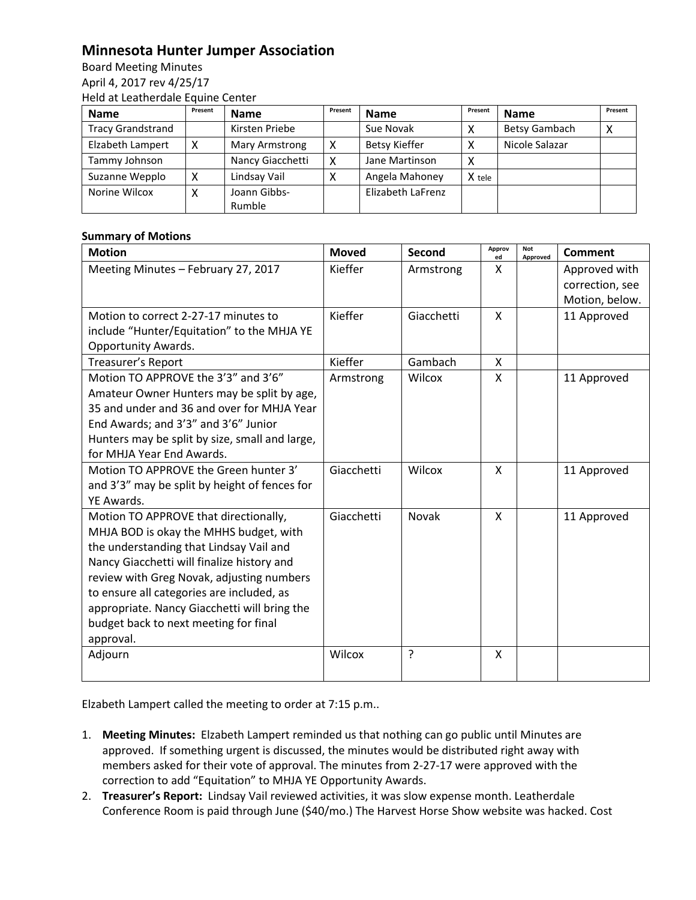## **Minnesota Hunter Jumper Association**

Board Meeting Minutes April 4, 2017 rev 4/25/17 Held at Leatherdale Equine Center

| <b>Name</b>              | Present | <b>Name</b>      | Present | <b>Name</b>          | Present | <b>Name</b>    | Present |
|--------------------------|---------|------------------|---------|----------------------|---------|----------------|---------|
| <b>Tracy Grandstrand</b> |         | Kirsten Priebe   |         | Sue Novak            |         | Betsy Gambach  |         |
| Elzabeth Lampert         |         | Mary Armstrong   | χ       | <b>Betsy Kieffer</b> |         | Nicole Salazar |         |
| Tammy Johnson            |         | Nancy Giacchetti | χ       | Jane Martinson       | x       |                |         |
| Suzanne Wepplo           |         | Lindsay Vail     |         | Angela Mahoney       | X tele  |                |         |
| Norine Wilcox            |         | Joann Gibbs-     |         | Elizabeth LaFrenz    |         |                |         |
|                          |         | Rumble           |         |                      |         |                |         |

## **Summary of Motions**

| <b>Motion</b>                                  | <b>Moved</b> | Second     | Approv<br>ed | <b>Not</b><br>Approved | Comment         |
|------------------------------------------------|--------------|------------|--------------|------------------------|-----------------|
| Meeting Minutes - February 27, 2017            | Kieffer      | Armstrong  | X            |                        | Approved with   |
|                                                |              |            |              |                        | correction, see |
|                                                |              |            |              |                        | Motion, below.  |
| Motion to correct 2-27-17 minutes to           | Kieffer      | Giacchetti | X            |                        | 11 Approved     |
| include "Hunter/Equitation" to the MHJA YE     |              |            |              |                        |                 |
| Opportunity Awards.                            |              |            |              |                        |                 |
| <b>Treasurer's Report</b>                      | Kieffer      | Gambach    | X            |                        |                 |
| Motion TO APPROVE the 3'3" and 3'6"            | Armstrong    | Wilcox     | X            |                        | 11 Approved     |
| Amateur Owner Hunters may be split by age,     |              |            |              |                        |                 |
| 35 and under and 36 and over for MHJA Year     |              |            |              |                        |                 |
| End Awards; and 3'3" and 3'6" Junior           |              |            |              |                        |                 |
| Hunters may be split by size, small and large, |              |            |              |                        |                 |
| for MHJA Year End Awards.                      |              |            |              |                        |                 |
| Motion TO APPROVE the Green hunter 3'          | Giacchetti   | Wilcox     | $\mathsf{x}$ |                        | 11 Approved     |
| and 3'3" may be split by height of fences for  |              |            |              |                        |                 |
| YE Awards.                                     |              |            |              |                        |                 |
| Motion TO APPROVE that directionally,          | Giacchetti   | Novak      | X            |                        | 11 Approved     |
| MHJA BOD is okay the MHHS budget, with         |              |            |              |                        |                 |
| the understanding that Lindsay Vail and        |              |            |              |                        |                 |
| Nancy Giacchetti will finalize history and     |              |            |              |                        |                 |
| review with Greg Novak, adjusting numbers      |              |            |              |                        |                 |
| to ensure all categories are included, as      |              |            |              |                        |                 |
| appropriate. Nancy Giacchetti will bring the   |              |            |              |                        |                 |
| budget back to next meeting for final          |              |            |              |                        |                 |
| approval.                                      |              |            |              |                        |                 |
| Adjourn                                        | Wilcox       | ?          | X            |                        |                 |
|                                                |              |            |              |                        |                 |

Elzabeth Lampert called the meeting to order at 7:15 p.m..

- 1. **Meeting Minutes:** Elzabeth Lampert reminded us that nothing can go public until Minutes are approved. If something urgent is discussed, the minutes would be distributed right away with members asked for their vote of approval. The minutes from 2-27-17 were approved with the correction to add "Equitation" to MHJA YE Opportunity Awards.
- 2. **Treasurer's Report:** Lindsay Vail reviewed activities, it was slow expense month. Leatherdale Conference Room is paid through June (\$40/mo.) The Harvest Horse Show website was hacked. Cost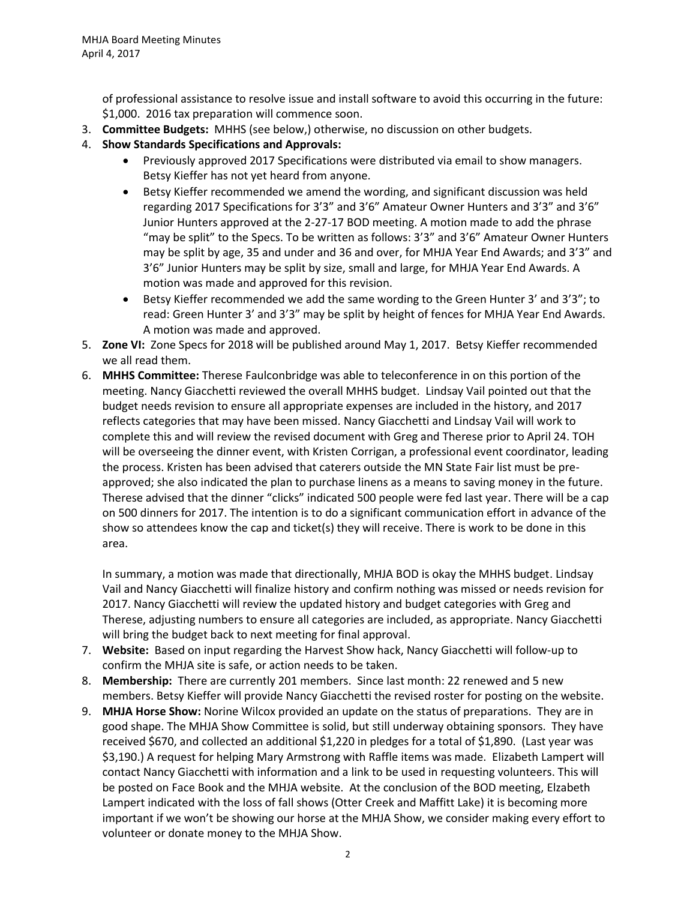of professional assistance to resolve issue and install software to avoid this occurring in the future: \$1,000. 2016 tax preparation will commence soon.

- 3. **Committee Budgets:** MHHS (see below,) otherwise, no discussion on other budgets.
- 4. **Show Standards Specifications and Approvals:**
	- Previously approved 2017 Specifications were distributed via email to show managers. Betsy Kieffer has not yet heard from anyone.
	- Betsy Kieffer recommended we amend the wording, and significant discussion was held regarding 2017 Specifications for 3'3" and 3'6" Amateur Owner Hunters and 3'3" and 3'6" Junior Hunters approved at the 2-27-17 BOD meeting. A motion made to add the phrase "may be split" to the Specs. To be written as follows: 3'3" and 3'6" Amateur Owner Hunters may be split by age, 35 and under and 36 and over, for MHJA Year End Awards; and 3'3" and 3'6" Junior Hunters may be split by size, small and large, for MHJA Year End Awards. A motion was made and approved for this revision.
	- Betsy Kieffer recommended we add the same wording to the Green Hunter 3' and 3'3"; to read: Green Hunter 3' and 3'3" may be split by height of fences for MHJA Year End Awards. A motion was made and approved.
- 5. **Zone VI:** Zone Specs for 2018 will be published around May 1, 2017. Betsy Kieffer recommended we all read them.
- 6. **MHHS Committee:** Therese Faulconbridge was able to teleconference in on this portion of the meeting. Nancy Giacchetti reviewed the overall MHHS budget. Lindsay Vail pointed out that the budget needs revision to ensure all appropriate expenses are included in the history, and 2017 reflects categories that may have been missed. Nancy Giacchetti and Lindsay Vail will work to complete this and will review the revised document with Greg and Therese prior to April 24. TOH will be overseeing the dinner event, with Kristen Corrigan, a professional event coordinator, leading the process. Kristen has been advised that caterers outside the MN State Fair list must be preapproved; she also indicated the plan to purchase linens as a means to saving money in the future. Therese advised that the dinner "clicks" indicated 500 people were fed last year. There will be a cap on 500 dinners for 2017. The intention is to do a significant communication effort in advance of the show so attendees know the cap and ticket(s) they will receive. There is work to be done in this area.

In summary, a motion was made that directionally, MHJA BOD is okay the MHHS budget. Lindsay Vail and Nancy Giacchetti will finalize history and confirm nothing was missed or needs revision for 2017. Nancy Giacchetti will review the updated history and budget categories with Greg and Therese, adjusting numbers to ensure all categories are included, as appropriate. Nancy Giacchetti will bring the budget back to next meeting for final approval.

- 7. **Website:** Based on input regarding the Harvest Show hack, Nancy Giacchetti will follow-up to confirm the MHJA site is safe, or action needs to be taken.
- 8. **Membership:** There are currently 201 members. Since last month: 22 renewed and 5 new members. Betsy Kieffer will provide Nancy Giacchetti the revised roster for posting on the website.
- 9. **MHJA Horse Show:** Norine Wilcox provided an update on the status of preparations. They are in good shape. The MHJA Show Committee is solid, but still underway obtaining sponsors. They have received \$670, and collected an additional \$1,220 in pledges for a total of \$1,890. (Last year was \$3,190.) A request for helping Mary Armstrong with Raffle items was made. Elizabeth Lampert will contact Nancy Giacchetti with information and a link to be used in requesting volunteers. This will be posted on Face Book and the MHJA website. At the conclusion of the BOD meeting, Elzabeth Lampert indicated with the loss of fall shows (Otter Creek and Maffitt Lake) it is becoming more important if we won't be showing our horse at the MHJA Show, we consider making every effort to volunteer or donate money to the MHJA Show.